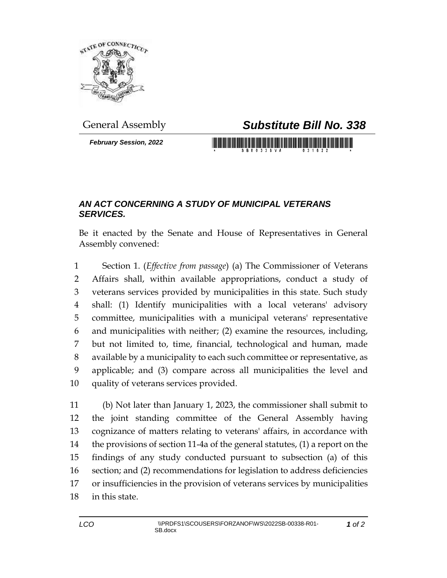

*February Session, 2022*

## General Assembly *Substitute Bill No. 338*

<u> 1999 - Johann Maria Maria Maria Maria Maria Maria Maria Maria Maria Maria Maria Maria Maria Maria Maria Maria</u>

## *AN ACT CONCERNING A STUDY OF MUNICIPAL VETERANS SERVICES.*

Be it enacted by the Senate and House of Representatives in General Assembly convened:

 Section 1. (*Effective from passage*) (a) The Commissioner of Veterans Affairs shall, within available appropriations, conduct a study of veterans services provided by municipalities in this state. Such study shall: (1) Identify municipalities with a local veterans' advisory committee, municipalities with a municipal veterans' representative and municipalities with neither; (2) examine the resources, including, but not limited to, time, financial, technological and human, made available by a municipality to each such committee or representative, as applicable; and (3) compare across all municipalities the level and quality of veterans services provided.

 (b) Not later than January 1, 2023, the commissioner shall submit to the joint standing committee of the General Assembly having cognizance of matters relating to veterans' affairs, in accordance with the provisions of section 11-4a of the general statutes, (1) a report on the findings of any study conducted pursuant to subsection (a) of this section; and (2) recommendations for legislation to address deficiencies or insufficiencies in the provision of veterans services by municipalities in this state.